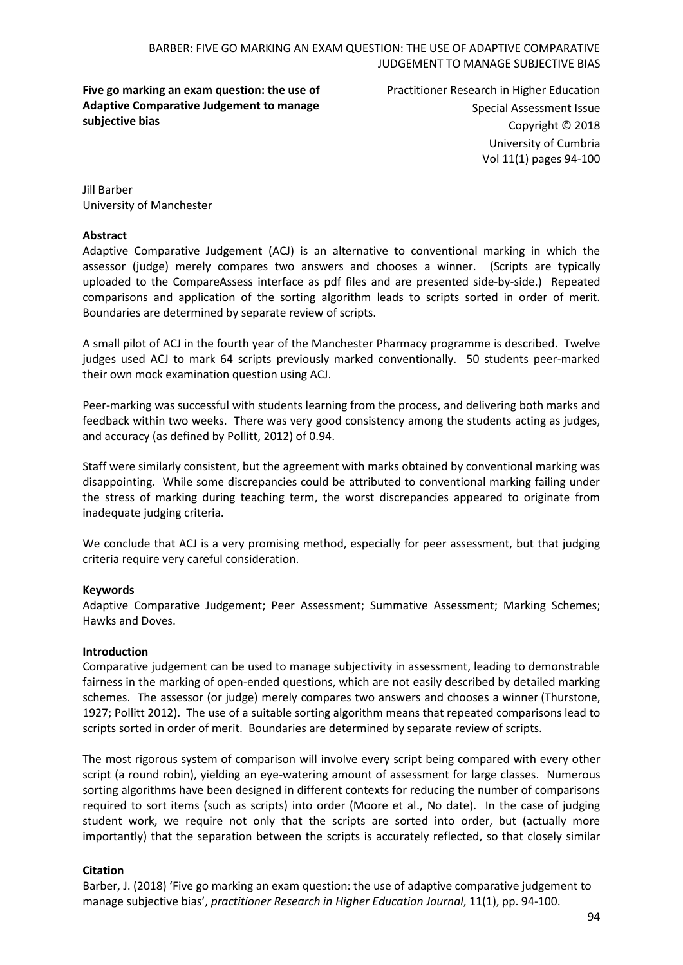### BARBER: FIVE GO MARKING AN EXAM QUESTION: THE USE OF ADAPTIVE COMPARATIVE JUDGEMENT TO MANAGE SUBJECTIVE BIAS

**Five go marking an exam question: the use of Adaptive Comparative Judgement to manage subjective bias**

Practitioner Research in Higher Education Special Assessment Issue Copyright © 2018 University of Cumbria Vol 11(1) pages 94-100

Jill Barber University of Manchester

#### **Abstract**

Adaptive Comparative Judgement (ACJ) is an alternative to conventional marking in which the assessor (judge) merely compares two answers and chooses a winner. (Scripts are typically uploaded to the CompareAssess interface as pdf files and are presented side-by-side.) Repeated comparisons and application of the sorting algorithm leads to scripts sorted in order of merit. Boundaries are determined by separate review of scripts.

A small pilot of ACJ in the fourth year of the Manchester Pharmacy programme is described. Twelve judges used ACJ to mark 64 scripts previously marked conventionally. 50 students peer-marked their own mock examination question using ACJ.

Peer-marking was successful with students learning from the process, and delivering both marks and feedback within two weeks. There was very good consistency among the students acting as judges, and accuracy (as defined by Pollitt, 2012) of 0.94.

Staff were similarly consistent, but the agreement with marks obtained by conventional marking was disappointing. While some discrepancies could be attributed to conventional marking failing under the stress of marking during teaching term, the worst discrepancies appeared to originate from inadequate judging criteria.

We conclude that ACJ is a very promising method, especially for peer assessment, but that judging criteria require very careful consideration.

#### **Keywords**

Adaptive Comparative Judgement; Peer Assessment; Summative Assessment; Marking Schemes; Hawks and Doves.

#### **Introduction**

Comparative judgement can be used to manage subjectivity in assessment, leading to demonstrable fairness in the marking of open-ended questions, which are not easily described by detailed marking schemes. The assessor (or judge) merely compares two answers and chooses a winner (Thurstone, 1927; Pollitt 2012). The use of a suitable sorting algorithm means that repeated comparisons lead to scripts sorted in order of merit. Boundaries are determined by separate review of scripts.

The most rigorous system of comparison will involve every script being compared with every other script (a round robin), yielding an eye-watering amount of assessment for large classes. Numerous sorting algorithms have been designed in different contexts for reducing the number of comparisons required to sort items (such as scripts) into order (Moore et al., No date). In the case of judging student work, we require not only that the scripts are sorted into order, but (actually more importantly) that the separation between the scripts is accurately reflected, so that closely similar

#### **Citation**

Barber, J. (2018) 'Five go marking an exam question: the use of adaptive comparative judgement to manage subjective bias', *practitioner Research in Higher Education Journal*, 11(1), pp. 94-100.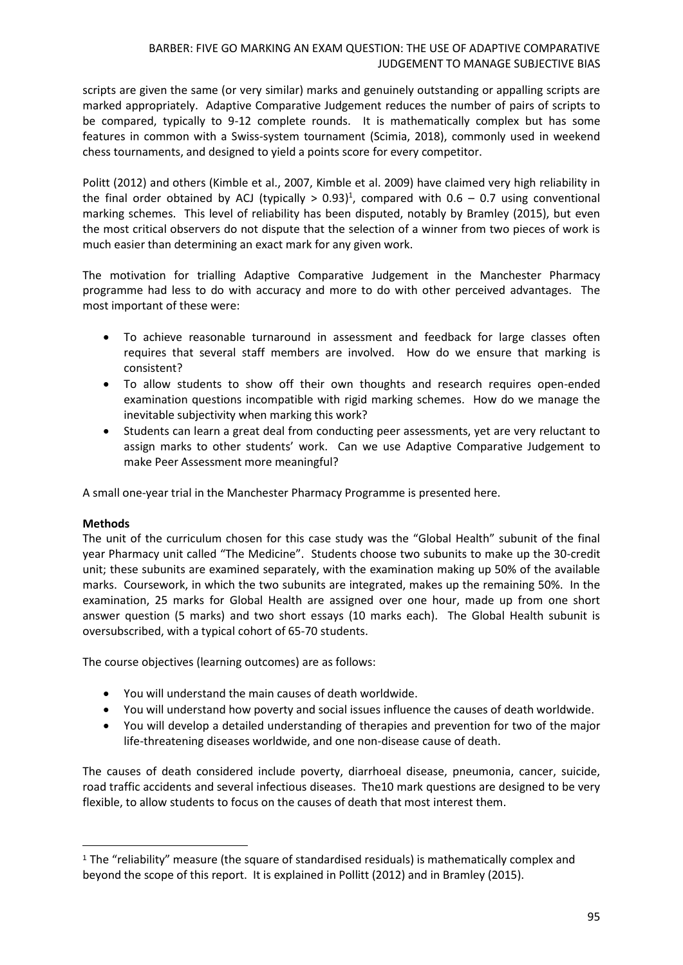scripts are given the same (or very similar) marks and genuinely outstanding or appalling scripts are marked appropriately. Adaptive Comparative Judgement reduces the number of pairs of scripts to be compared, typically to 9-12 complete rounds. It is mathematically complex but has some features in common with a Swiss-system tournament (Scimia, 2018), commonly used in weekend chess tournaments, and designed to yield a points score for every competitor.

Politt (2012) and others (Kimble et al., 2007, Kimble et al. 2009) have claimed very high reliability in the final order obtained by ACJ (typically  $> 0.93$ )<sup>1</sup>, compared with 0.6 - 0.7 using conventional marking schemes. This level of reliability has been disputed, notably by Bramley (2015), but even the most critical observers do not dispute that the selection of a winner from two pieces of work is much easier than determining an exact mark for any given work.

The motivation for trialling Adaptive Comparative Judgement in the Manchester Pharmacy programme had less to do with accuracy and more to do with other perceived advantages. The most important of these were:

- To achieve reasonable turnaround in assessment and feedback for large classes often requires that several staff members are involved. How do we ensure that marking is consistent?
- To allow students to show off their own thoughts and research requires open-ended examination questions incompatible with rigid marking schemes. How do we manage the inevitable subjectivity when marking this work?
- Students can learn a great deal from conducting peer assessments, yet are very reluctant to assign marks to other students' work. Can we use Adaptive Comparative Judgement to make Peer Assessment more meaningful?

A small one-year trial in the Manchester Pharmacy Programme is presented here.

# **Methods**

1

The unit of the curriculum chosen for this case study was the "Global Health" subunit of the final year Pharmacy unit called "The Medicine". Students choose two subunits to make up the 30-credit unit; these subunits are examined separately, with the examination making up 50% of the available marks. Coursework, in which the two subunits are integrated, makes up the remaining 50%. In the examination, 25 marks for Global Health are assigned over one hour, made up from one short answer question (5 marks) and two short essays (10 marks each). The Global Health subunit is oversubscribed, with a typical cohort of 65-70 students.

The course objectives (learning outcomes) are as follows:

- You will understand the main causes of death worldwide.
- You will understand how poverty and social issues influence the causes of death worldwide.
- You will develop a detailed understanding of therapies and prevention for two of the major life-threatening diseases worldwide, and one non-disease cause of death.

The causes of death considered include poverty, diarrhoeal disease, pneumonia, cancer, suicide, road traffic accidents and several infectious diseases. The10 mark questions are designed to be very flexible, to allow students to focus on the causes of death that most interest them.

<sup>1</sup> The "reliability" measure (the square of standardised residuals) is mathematically complex and beyond the scope of this report. It is explained in Pollitt (2012) and in Bramley (2015).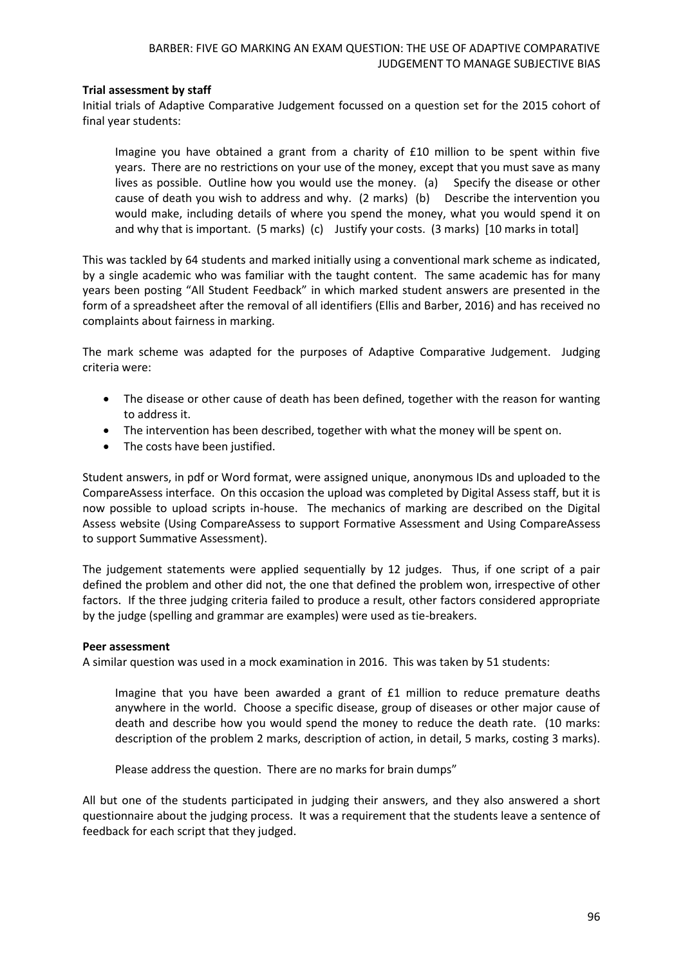### **Trial assessment by staff**

Initial trials of Adaptive Comparative Judgement focussed on a question set for the 2015 cohort of final year students:

Imagine you have obtained a grant from a charity of £10 million to be spent within five years. There are no restrictions on your use of the money, except that you must save as many lives as possible. Outline how you would use the money. (a) Specify the disease or other cause of death you wish to address and why. (2 marks) (b) Describe the intervention you would make, including details of where you spend the money, what you would spend it on and why that is important. (5 marks) (c) Justify your costs. (3 marks) [10 marks in total]

This was tackled by 64 students and marked initially using a conventional mark scheme as indicated, by a single academic who was familiar with the taught content. The same academic has for many years been posting "All Student Feedback" in which marked student answers are presented in the form of a spreadsheet after the removal of all identifiers (Ellis and Barber, 2016) and has received no complaints about fairness in marking.

The mark scheme was adapted for the purposes of Adaptive Comparative Judgement. Judging criteria were:

- The disease or other cause of death has been defined, together with the reason for wanting to address it.
- The intervention has been described, together with what the money will be spent on.
- The costs have been justified.

Student answers, in pdf or Word format, were assigned unique, anonymous IDs and uploaded to the CompareAssess interface. On this occasion the upload was completed by Digital Assess staff, but it is now possible to upload scripts in-house. The mechanics of marking are described on the Digital Assess website (Using CompareAssess to support Formative Assessment and Using CompareAssess to support Summative Assessment).

The judgement statements were applied sequentially by 12 judges. Thus, if one script of a pair defined the problem and other did not, the one that defined the problem won, irrespective of other factors. If the three judging criteria failed to produce a result, other factors considered appropriate by the judge (spelling and grammar are examples) were used as tie-breakers.

#### **Peer assessment**

A similar question was used in a mock examination in 2016. This was taken by 51 students:

Imagine that you have been awarded a grant of £1 million to reduce premature deaths anywhere in the world. Choose a specific disease, group of diseases or other major cause of death and describe how you would spend the money to reduce the death rate. (10 marks: description of the problem 2 marks, description of action, in detail, 5 marks, costing 3 marks).

Please address the question. There are no marks for brain dumps"

All but one of the students participated in judging their answers, and they also answered a short questionnaire about the judging process. It was a requirement that the students leave a sentence of feedback for each script that they judged.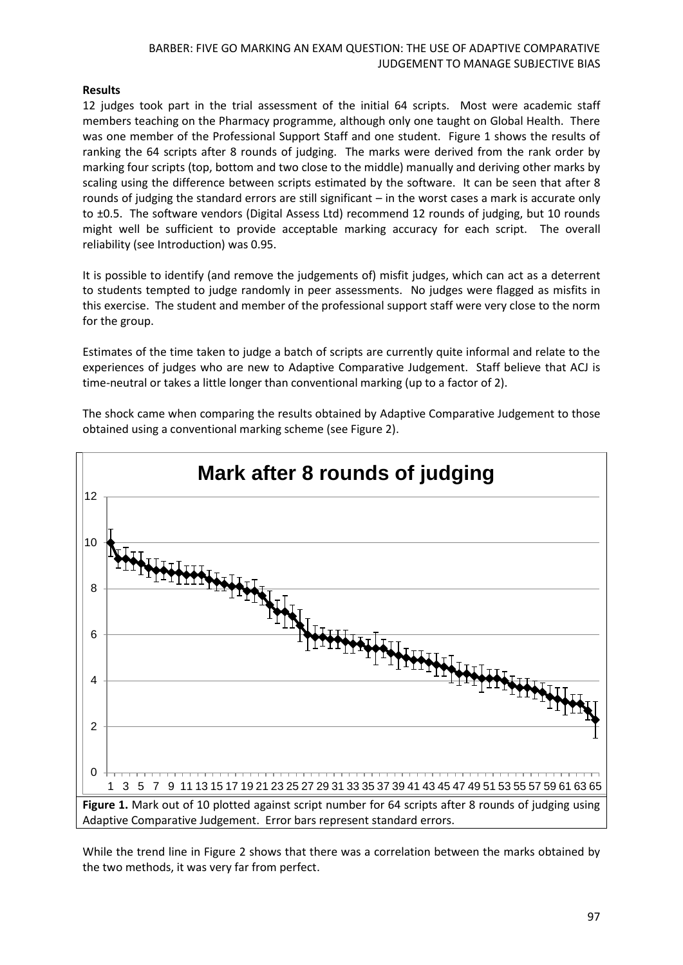### BARBER: FIVE GO MARKING AN EXAM QUESTION: THE USE OF ADAPTIVE COMPARATIVE JUDGEMENT TO MANAGE SUBJECTIVE BIAS

## **Results**

12 judges took part in the trial assessment of the initial 64 scripts. Most were academic staff members teaching on the Pharmacy programme, although only one taught on Global Health. There was one member of the Professional Support Staff and one student. Figure 1 shows the results of ranking the 64 scripts after 8 rounds of judging. The marks were derived from the rank order by marking four scripts (top, bottom and two close to the middle) manually and deriving other marks by scaling using the difference between scripts estimated by the software. It can be seen that after 8 rounds of judging the standard errors are still significant – in the worst cases a mark is accurate only to ±0.5. The software vendors (Digital Assess Ltd) recommend 12 rounds of judging, but 10 rounds might well be sufficient to provide acceptable marking accuracy for each script. The overall reliability (see Introduction) was 0.95.

It is possible to identify (and remove the judgements of) misfit judges, which can act as a deterrent to students tempted to judge randomly in peer assessments. No judges were flagged as misfits in this exercise. The student and member of the professional support staff were very close to the norm for the group.

Estimates of the time taken to judge a batch of scripts are currently quite informal and relate to the experiences of judges who are new to Adaptive Comparative Judgement. Staff believe that ACJ is time-neutral or takes a little longer than conventional marking (up to a factor of 2).

The shock came when comparing the results obtained by Adaptive Comparative Judgement to those obtained using a conventional marking scheme (see Figure 2).



While the trend line in Figure 2 shows that there was a correlation between the marks obtained by the two methods, it was very far from perfect.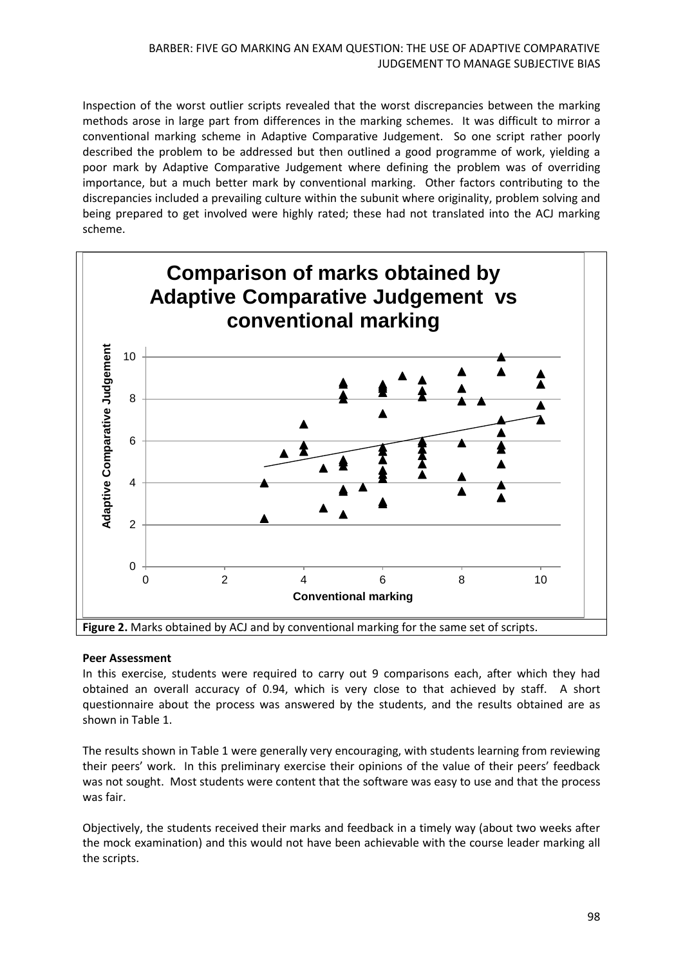Inspection of the worst outlier scripts revealed that the worst discrepancies between the marking methods arose in large part from differences in the marking schemes. It was difficult to mirror a conventional marking scheme in Adaptive Comparative Judgement. So one script rather poorly described the problem to be addressed but then outlined a good programme of work, yielding a poor mark by Adaptive Comparative Judgement where defining the problem was of overriding importance, but a much better mark by conventional marking. Other factors contributing to the discrepancies included a prevailing culture within the subunit where originality, problem solving and being prepared to get involved were highly rated; these had not translated into the ACJ marking scheme.



**Figure 2.** Marks obtained by ACJ and by conventional marking for the same set of scripts.

# **Peer Assessment**

In this exercise, students were required to carry out 9 comparisons each, after which they had obtained an overall accuracy of 0.94, which is very close to that achieved by staff. A short questionnaire about the process was answered by the students, and the results obtained are as shown in Table 1.

The results shown in Table 1 were generally very encouraging, with students learning from reviewing their peers' work. In this preliminary exercise their opinions of the value of their peers' feedback was not sought. Most students were content that the software was easy to use and that the process was fair.

Objectively, the students received their marks and feedback in a timely way (about two weeks after the mock examination) and this would not have been achievable with the course leader marking all the scripts.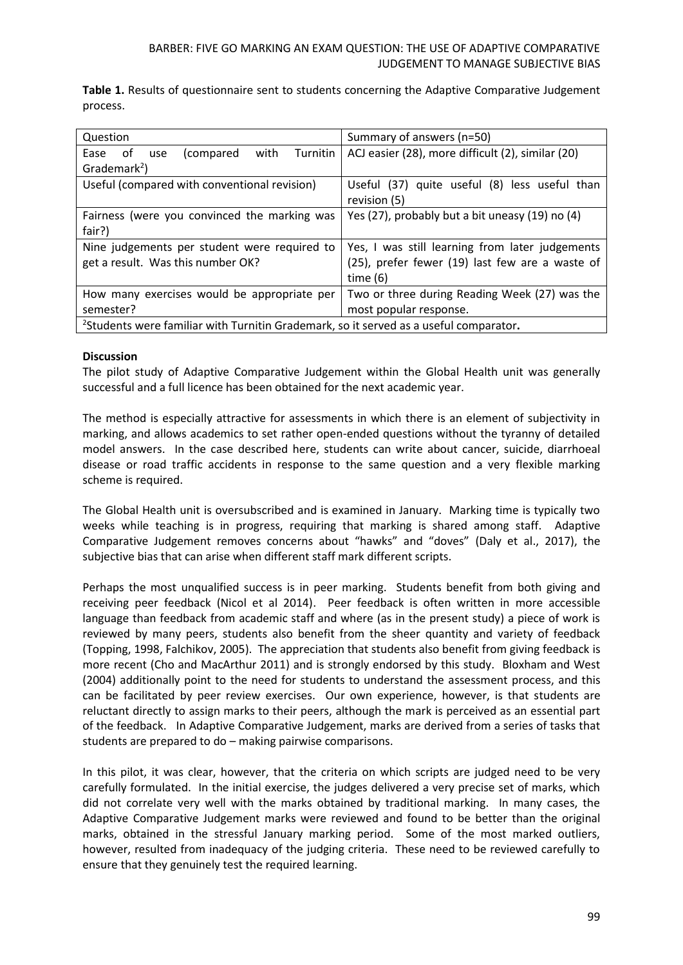**Table 1.** Results of questionnaire sent to students concerning the Adaptive Comparative Judgement process.

| Question                                                                                          | Summary of answers (n=50)                         |
|---------------------------------------------------------------------------------------------------|---------------------------------------------------|
| with<br>Turnitin<br>of .<br>(compared<br>Ease<br>use                                              | ACJ easier (28), more difficult (2), similar (20) |
| Grademark <sup>2</sup> )                                                                          |                                                   |
| Useful (compared with conventional revision)                                                      | Useful (37) quite useful (8) less useful than     |
|                                                                                                   | revision (5)                                      |
| Fairness (were you convinced the marking was                                                      | Yes (27), probably but a bit uneasy (19) no (4)   |
| fair?)                                                                                            |                                                   |
| Nine judgements per student were required to                                                      | Yes, I was still learning from later judgements   |
| get a result. Was this number OK?                                                                 | (25), prefer fewer (19) last few are a waste of   |
|                                                                                                   | time $(6)$                                        |
| How many exercises would be appropriate per                                                       | Two or three during Reading Week (27) was the     |
| semester?                                                                                         | most popular response.                            |
| <sup>2</sup> Students were familiar with Turnitin Grademark, so it served as a useful comparator. |                                                   |

#### **Discussion**

The pilot study of Adaptive Comparative Judgement within the Global Health unit was generally successful and a full licence has been obtained for the next academic year.

The method is especially attractive for assessments in which there is an element of subjectivity in marking, and allows academics to set rather open-ended questions without the tyranny of detailed model answers. In the case described here, students can write about cancer, suicide, diarrhoeal disease or road traffic accidents in response to the same question and a very flexible marking scheme is required.

The Global Health unit is oversubscribed and is examined in January. Marking time is typically two weeks while teaching is in progress, requiring that marking is shared among staff. Adaptive Comparative Judgement removes concerns about "hawks" and "doves" (Daly et al., 2017), the subjective bias that can arise when different staff mark different scripts.

Perhaps the most unqualified success is in peer marking. Students benefit from both giving and receiving peer feedback (Nicol et al 2014). Peer feedback is often written in more accessible language than feedback from academic staff and where (as in the present study) a piece of work is reviewed by many peers, students also benefit from the sheer quantity and variety of feedback (Topping, 1998, Falchikov, 2005). The appreciation that students also benefit from giving feedback is more recent (Cho and MacArthur 2011) and is strongly endorsed by this study. Bloxham and West (2004) additionally point to the need for students to understand the assessment process, and this can be facilitated by peer review exercises. Our own experience, however, is that students are reluctant directly to assign marks to their peers, although the mark is perceived as an essential part of the feedback. In Adaptive Comparative Judgement, marks are derived from a series of tasks that students are prepared to do – making pairwise comparisons.

In this pilot, it was clear, however, that the criteria on which scripts are judged need to be very carefully formulated. In the initial exercise, the judges delivered a very precise set of marks, which did not correlate very well with the marks obtained by traditional marking. In many cases, the Adaptive Comparative Judgement marks were reviewed and found to be better than the original marks, obtained in the stressful January marking period. Some of the most marked outliers, however, resulted from inadequacy of the judging criteria. These need to be reviewed carefully to ensure that they genuinely test the required learning.